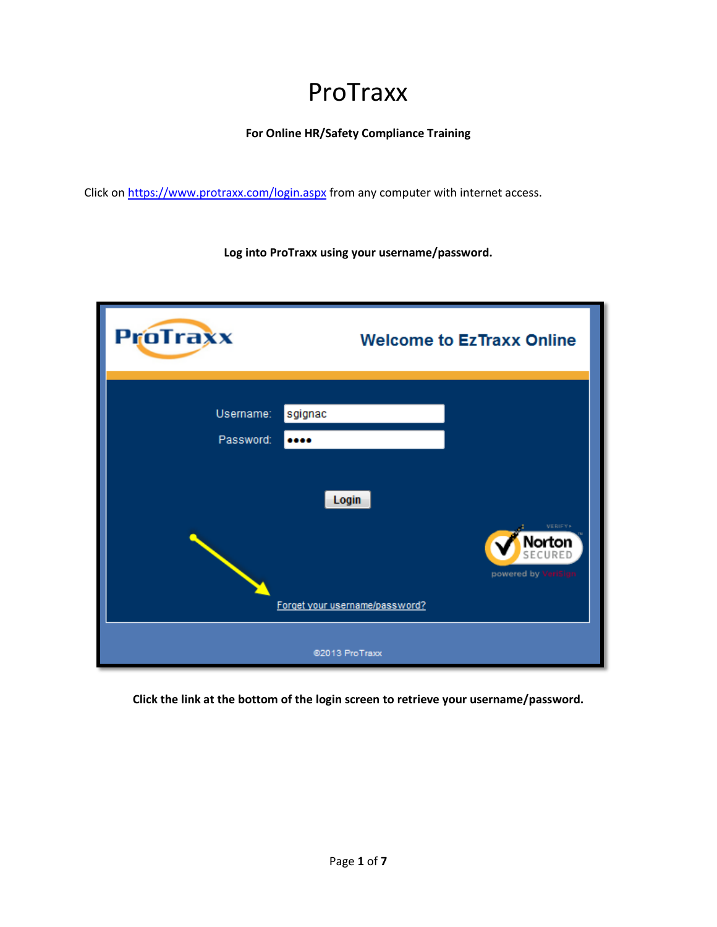## ProTraxx

**For Online HR/Safety Compliance Training**

Click on<https://www.protraxx.com/login.aspx> from any computer with internet access.

**Log into ProTraxx using your username/password.**

| <b>ProTraxx</b>        |                                         | <b>Welcome to EzTraxx Online</b>                    |
|------------------------|-----------------------------------------|-----------------------------------------------------|
| Username:<br>Password: | sgignac<br>                             |                                                     |
|                        | Login<br>Forget your username/password? | VERIEV +<br>Norton<br>ECURED<br>powered by VeriSign |
|                        | @2013 ProTraxx                          |                                                     |

**Click the link at the bottom of the login screen to retrieve your username/password.**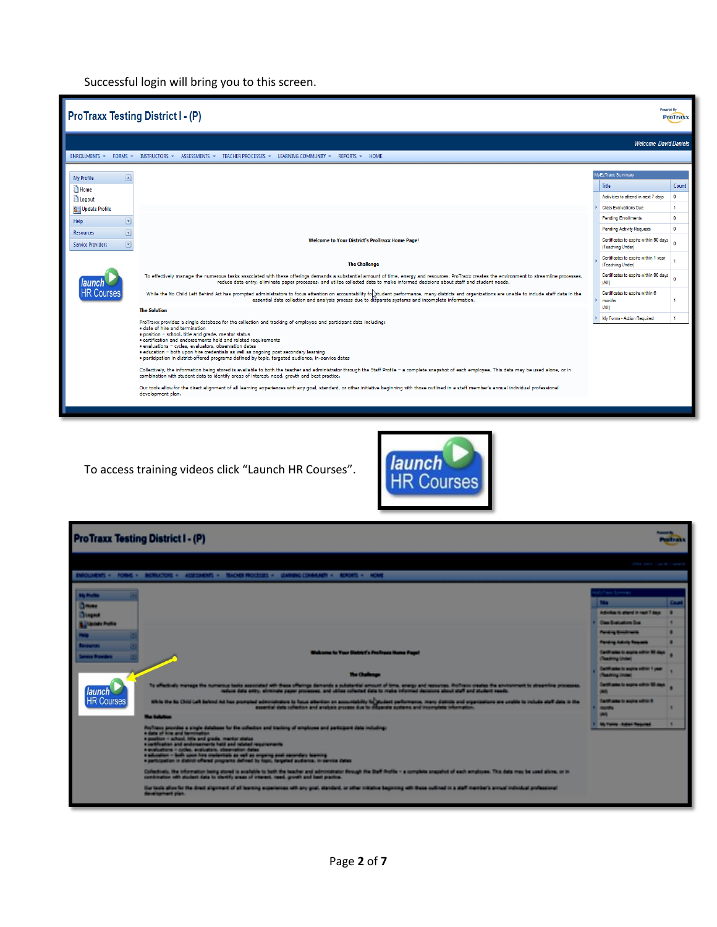Successful login will bring you to this screen.

| <b>ProTraxx Testing District I - (P)</b>     |                                                                                                                                                                                                                                                                                                                                                                                                                                                                                                                                                                                                                                                                                                                                                                                                                                                                                                                                                                                                                                                                   | Powered By                                                 | <b>ProTraxx</b> |
|----------------------------------------------|-------------------------------------------------------------------------------------------------------------------------------------------------------------------------------------------------------------------------------------------------------------------------------------------------------------------------------------------------------------------------------------------------------------------------------------------------------------------------------------------------------------------------------------------------------------------------------------------------------------------------------------------------------------------------------------------------------------------------------------------------------------------------------------------------------------------------------------------------------------------------------------------------------------------------------------------------------------------------------------------------------------------------------------------------------------------|------------------------------------------------------------|-----------------|
|                                              |                                                                                                                                                                                                                                                                                                                                                                                                                                                                                                                                                                                                                                                                                                                                                                                                                                                                                                                                                                                                                                                                   | <b>Welcome David Daniels</b>                               |                 |
| <b>ENROLLMENTS *</b><br>$FORMS$ $\sim$       | INSTRUCTORS * ASSESSMENTS * TEACHER PROCESSES * LEARNING COMMUNITY * REPORTS * HOME                                                                                                                                                                                                                                                                                                                                                                                                                                                                                                                                                                                                                                                                                                                                                                                                                                                                                                                                                                               |                                                            |                 |
| $\sqrt{2}$<br><b>My Profile</b>              |                                                                                                                                                                                                                                                                                                                                                                                                                                                                                                                                                                                                                                                                                                                                                                                                                                                                                                                                                                                                                                                                   | MyEzTraxx Summary<br>Title                                 | Count           |
| <b>Home</b><br>Logout                        |                                                                                                                                                                                                                                                                                                                                                                                                                                                                                                                                                                                                                                                                                                                                                                                                                                                                                                                                                                                                                                                                   | Activities to attend in next 7 days                        | $\Omega$        |
| <b>8 Update Profile</b><br>Help<br>×         |                                                                                                                                                                                                                                                                                                                                                                                                                                                                                                                                                                                                                                                                                                                                                                                                                                                                                                                                                                                                                                                                   | <b>Class Evaluations Due</b><br><b>Pending Enrollments</b> | $\mathbf{0}$    |
| <b>Resources</b><br>$\vert \mathbf{v} \vert$ |                                                                                                                                                                                                                                                                                                                                                                                                                                                                                                                                                                                                                                                                                                                                                                                                                                                                                                                                                                                                                                                                   | <b>Pending Activity Requests</b>                           | $\Omega$        |
| <b>Service Providers</b>                     | <b>Welcome to Your District's ProTraxx Home Page!</b>                                                                                                                                                                                                                                                                                                                                                                                                                                                                                                                                                                                                                                                                                                                                                                                                                                                                                                                                                                                                             | Certificates to expire within 90 days<br>(Teaching Under)  |                 |
|                                              | <b>The Challenge</b>                                                                                                                                                                                                                                                                                                                                                                                                                                                                                                                                                                                                                                                                                                                                                                                                                                                                                                                                                                                                                                              | Certificates to expire within 1 year<br>(Teaching Under)   |                 |
|                                              | To effectively manage the numerous tasks associated with these offerings demands a substantial amount of time, energy and resources. ProTraxx creates the environment to streamline processes,<br>reduce data entry, eliminate paper processes, and utilize collected data to make informed decisions about staff and student needs.                                                                                                                                                                                                                                                                                                                                                                                                                                                                                                                                                                                                                                                                                                                              | Certificates to expire within 90 days<br>(AIII)            |                 |
| <b>HR Course</b>                             | While the No Child Left Behind Act has prompted administrators to focus attention on accountability fo thus ent performance, many districts and organizations are unable to include staff data in the<br>essential data collection and analysis process due to disparate systems and incomplete information.                                                                                                                                                                                                                                                                                                                                                                                                                                                                                                                                                                                                                                                                                                                                                      | Certificates to expire within 6<br>months                  |                 |
|                                              | <b>The Solution</b>                                                                                                                                                                                                                                                                                                                                                                                                                                                                                                                                                                                                                                                                                                                                                                                                                                                                                                                                                                                                                                               | (AII)<br>My Forms - Action Required                        | $\mathbf{1}$    |
|                                              | ProTraxx provides a single database for the collection and tracking of employee and participant data including:<br>· date of hire and termination<br>· position - school, title and grade, mentor status<br>· certification and endorsements held and related requirements<br>· evaluations - cycles, evaluators, observation dates<br>. education - both upon hire credentials as well as ongoing post secondary learning<br>· participation in district-offered programs defined by topic, targeted audience, in-service dates<br>Collectively, the information being stored is available to both the teacher and administrator through the Staff Profile - a complete snapshot of each employee. This data may be used alone, or in<br>combination with student data to identify areas of interest, need, growth and best practice.<br>Our tools allow for the direct alignment of all learning experiences with any goal, standard, or other initiative beginning with those outlined in a staff member's annual individual professional<br>development plan. |                                                            |                 |

To access training videos click "Launch HR Courses".



| <b>MARKET</b><br><b>ProTraxx Testing District I - (P)</b><br><b>Profrass</b>                                                                                                                                                                                                                                                                                                                                                                                                                                               |  |                                                             |     |  |
|----------------------------------------------------------------------------------------------------------------------------------------------------------------------------------------------------------------------------------------------------------------------------------------------------------------------------------------------------------------------------------------------------------------------------------------------------------------------------------------------------------------------------|--|-------------------------------------------------------------|-----|--|
| ROLLARNIS - FORME - INCINACIONE - ASSESSMENTE - ISACHER MICCESSES - LEARNING CONNAUNTY - REPORTS - HONE                                                                                                                                                                                                                                                                                                                                                                                                                    |  | ANNIE ALEFFE - Agnitud - Caperelli                          |     |  |
|                                                                                                                                                                                                                                                                                                                                                                                                                                                                                                                            |  |                                                             |     |  |
| <b>IA Bullis</b>                                                                                                                                                                                                                                                                                                                                                                                                                                                                                                           |  | <b>Takes Summers</b>                                        |     |  |
| <b>Billing</b>                                                                                                                                                                                                                                                                                                                                                                                                                                                                                                             |  |                                                             | Gun |  |
| <b>Disgma</b>                                                                                                                                                                                                                                                                                                                                                                                                                                                                                                              |  | Adjustice to allerg in real 7 days.                         |     |  |
| <b>Constitute Profits</b>                                                                                                                                                                                                                                                                                                                                                                                                                                                                                                  |  | <b>Class Evaluations Com</b>                                |     |  |
|                                                                                                                                                                                                                                                                                                                                                                                                                                                                                                                            |  | <b>Paning Emminants</b>                                     |     |  |
| <b>STEAM AND</b>                                                                                                                                                                                                                                                                                                                                                                                                                                                                                                           |  | <b>Paning Adult Teams</b>                                   |     |  |
| Welcome to Your Clubbit's Profiters Home Page!<br><b><i><u>Antonia Brookland</u></i></b>                                                                                                                                                                                                                                                                                                                                                                                                                                   |  | California is annie within 10 days<br>(Teaching United)     |     |  |
| <b>Mas Chathong</b>                                                                                                                                                                                                                                                                                                                                                                                                                                                                                                        |  | Cantificates to angies within 1 pear<br>(Resoluting United) |     |  |
| To affectualy manage the numerous tests associated with these offerings demands a substantial amount of time, anargy and resources. Bisfraux creates the anumerous to alleanning processes,<br>launch<br>reduce date entry, allminate paper processes, and utilize milested date to make internal deceives about staff and student results.                                                                                                                                                                                |  | Carlifornia is angilla willich 20 days<br><b>GRAFTS</b>     |     |  |
| <b>HR Courses</b><br>while the fit Child Left Sellind Ad has prompted administers to focus attention on accountability further performance, many distributed performance and internations are unable to include staff data in the                                                                                                                                                                                                                                                                                          |  | Cantilizates in major within 8<br><b>HANDS</b>              |     |  |
| <b>When Keels Misson</b>                                                                                                                                                                                                                                                                                                                                                                                                                                                                                                   |  | mill                                                        |     |  |
| Profitage provides a single detabase for the mileston and trading of amployee and performer data induling:<br>· date of him and termination<br>· position - advest, title and grade, mariter status<br>a cartification and andoresments held and related requirements<br>· evaluations = colles, evaluators, showratton dates<br>· aducation = both upon hire credentials as well as originity post excenders learning<br>a participation in district offered programs defined by him. Sergened audience, in service dates |  | <b>My France: Address Comment</b>                           |     |  |
| Callectively. the information being alored is available to both the teacher and administrator through the Staff Brofile = a complete snepshot of each employee. This date may be used alore, or in<br>continuation with student date to cleriffy areas of interest, need, growth and best practice.                                                                                                                                                                                                                        |  |                                                             |     |  |
| Our look allow for the drest alignment of all learning experiences with any goal, standard, or other mitative beginning with those sulfined in a staff member's annual individual professional<br>desalizament plan.                                                                                                                                                                                                                                                                                                       |  |                                                             |     |  |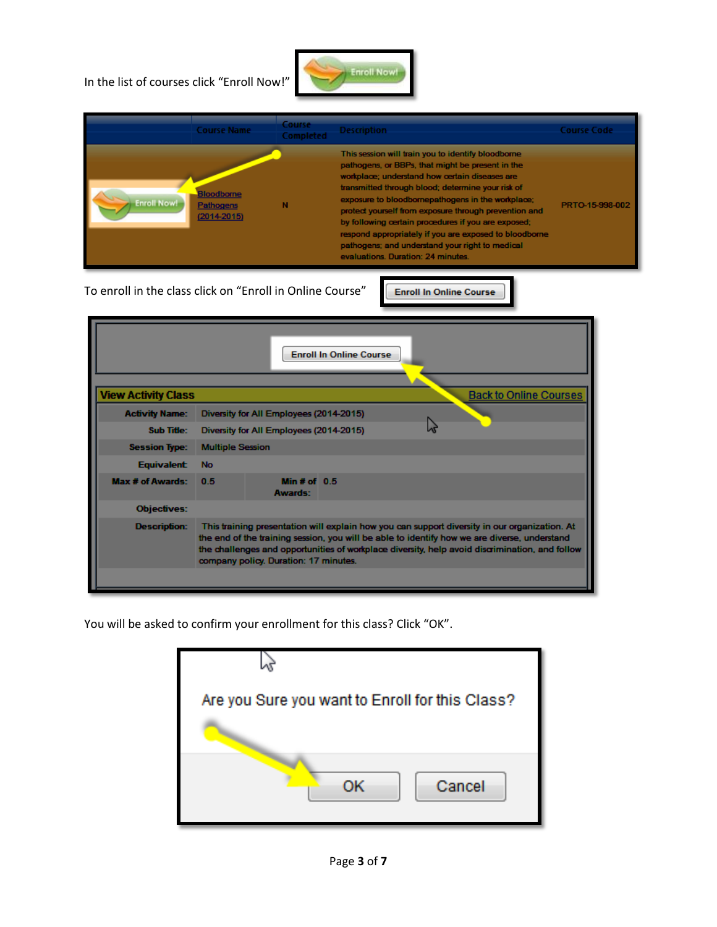In the list of courses click "Enroll Now!"



| This session will train you to identify bloodborne<br>pathogens, or BBPs, that might be present in the<br>workplace; understand how certain diseases are<br>transmitted through blood; determine your risk of<br><b>Bloodborne</b>                                                                                                                                         | <b>Course Code</b> |
|----------------------------------------------------------------------------------------------------------------------------------------------------------------------------------------------------------------------------------------------------------------------------------------------------------------------------------------------------------------------------|--------------------|
| exposure to bloodbornepathogens in the workplace;<br><b>Enroll Now!</b><br>Pathogens<br>protect yourself from exposure through prevention and<br>$(2014 - 2015)$<br>by following certain procedures if you are exposed;<br>respond appropriately if you are exposed to bloodborne<br>pathogens; and understand your right to medical<br>evaluations. Duration: 24 minutes. | PRTO-15-998-002    |

To enroll in the class click on "Enroll in Online Course"

**Enroll In Online Course** 

| <b>Enroll In Online Course</b>                                                                                                                                                                                                                                                                                                                                  |                                         |  |  |  |  |  |
|-----------------------------------------------------------------------------------------------------------------------------------------------------------------------------------------------------------------------------------------------------------------------------------------------------------------------------------------------------------------|-----------------------------------------|--|--|--|--|--|
| <b>View Activity Class</b><br><b>Back to Online Courses</b>                                                                                                                                                                                                                                                                                                     |                                         |  |  |  |  |  |
| <b>Activity Name:</b>                                                                                                                                                                                                                                                                                                                                           | Diversity for All Employees (2014-2015) |  |  |  |  |  |
| <b>Sub Title:</b>                                                                                                                                                                                                                                                                                                                                               | Diversity for All Employees (2014-2015) |  |  |  |  |  |
| <b>Session Type:</b>                                                                                                                                                                                                                                                                                                                                            | <b>Multiple Session</b>                 |  |  |  |  |  |
| <b>Equivalent:</b>                                                                                                                                                                                                                                                                                                                                              | <b>No</b>                               |  |  |  |  |  |
| <b>Max # of Awards:</b>                                                                                                                                                                                                                                                                                                                                         | Min# of $0.5$<br>0.5<br><b>Awards:</b>  |  |  |  |  |  |
| <b>Objectives:</b>                                                                                                                                                                                                                                                                                                                                              |                                         |  |  |  |  |  |
| This training presentation will explain how you can support diversity in our organization. At<br><b>Description:</b><br>the end of the training session, you will be able to identify how we are diverse, understand<br>the challenges and opportunities of workplace diversity, help avoid discrimination, and follow<br>company policy. Duration: 17 minutes. |                                         |  |  |  |  |  |

You will be asked to confirm your enrollment for this class? Click "OK".

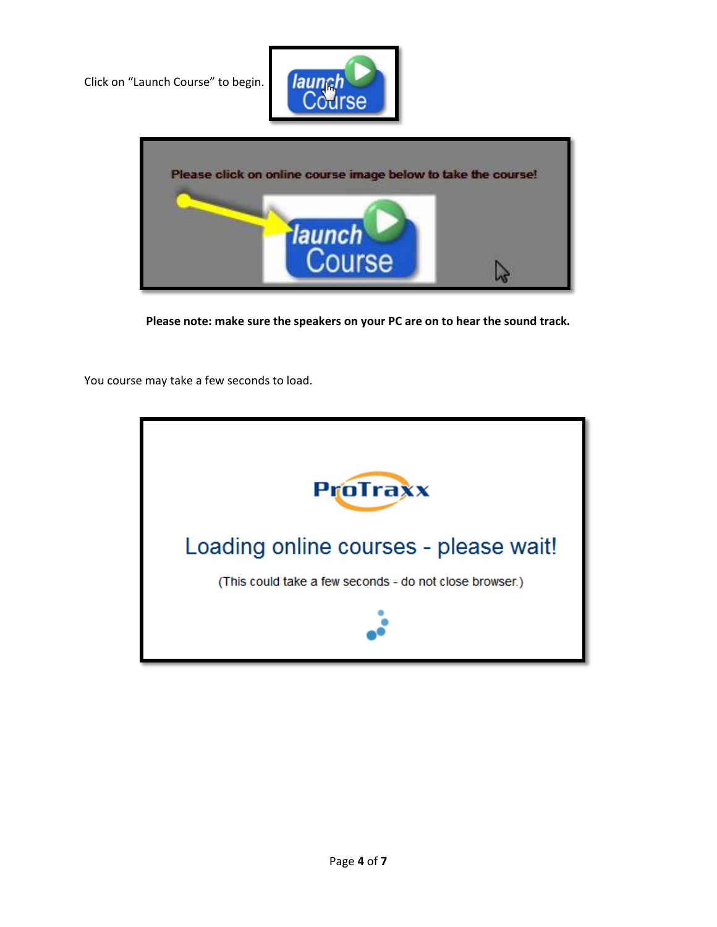Click on "Launch Course" to begin.





**Please note: make sure the speakers on your PC are on to hear the sound track.**

You course may take a few seconds to load.

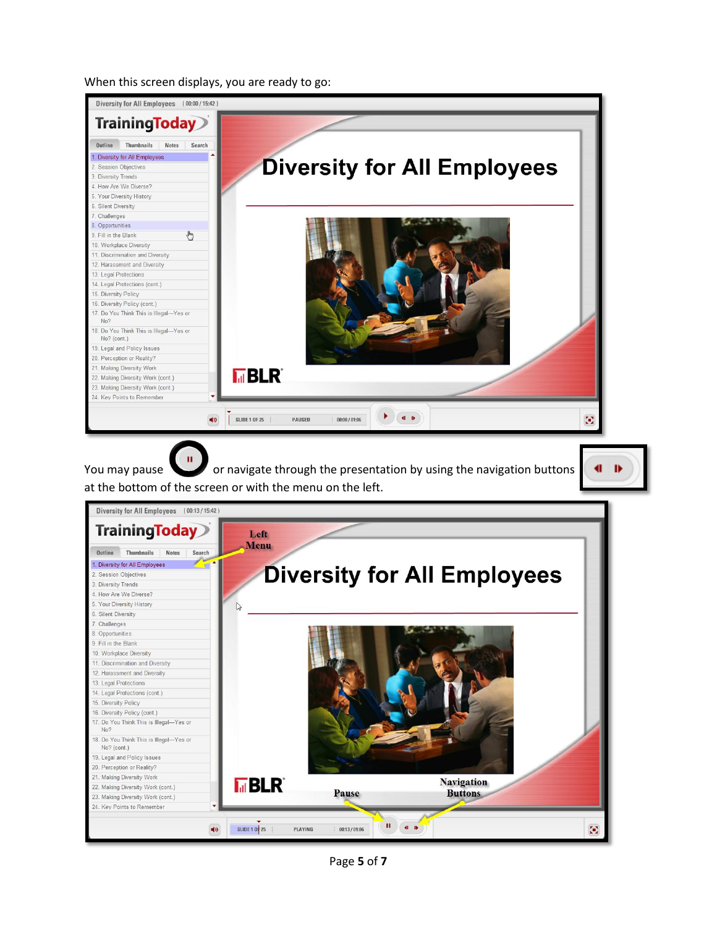When this screen displays, you are ready to go:



Page **5** of **7**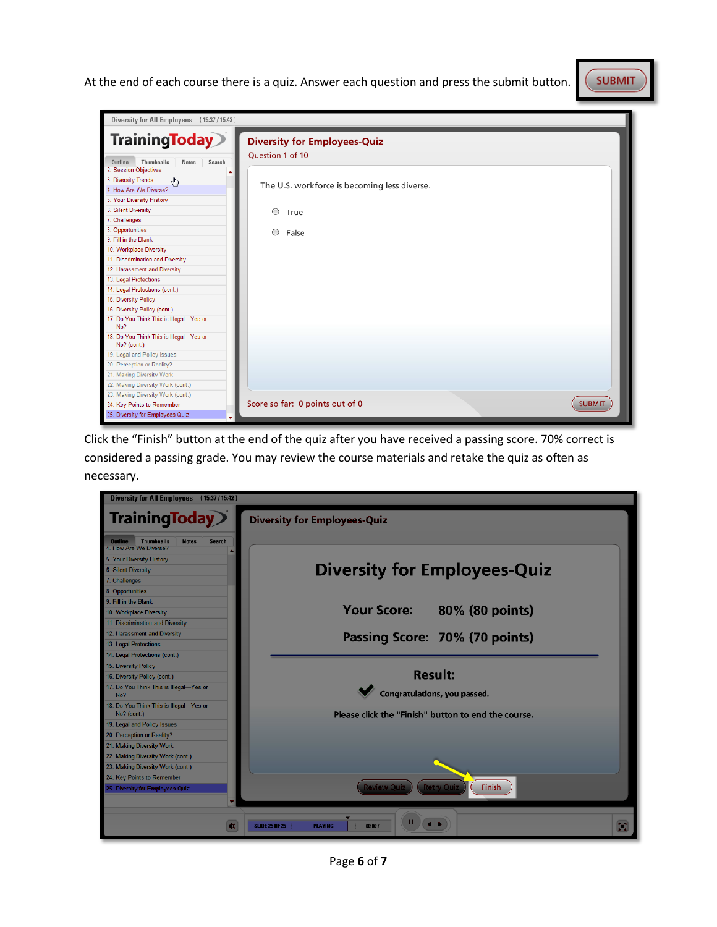At the end of each course there is a quiz. Answer each question and press the submit button.





Click the "Finish" button at the end of the quiz after you have received a passing score. 70% correct is considered a passing grade. You may review the course materials and retake the quiz as often as necessary.



Page **6** of **7**